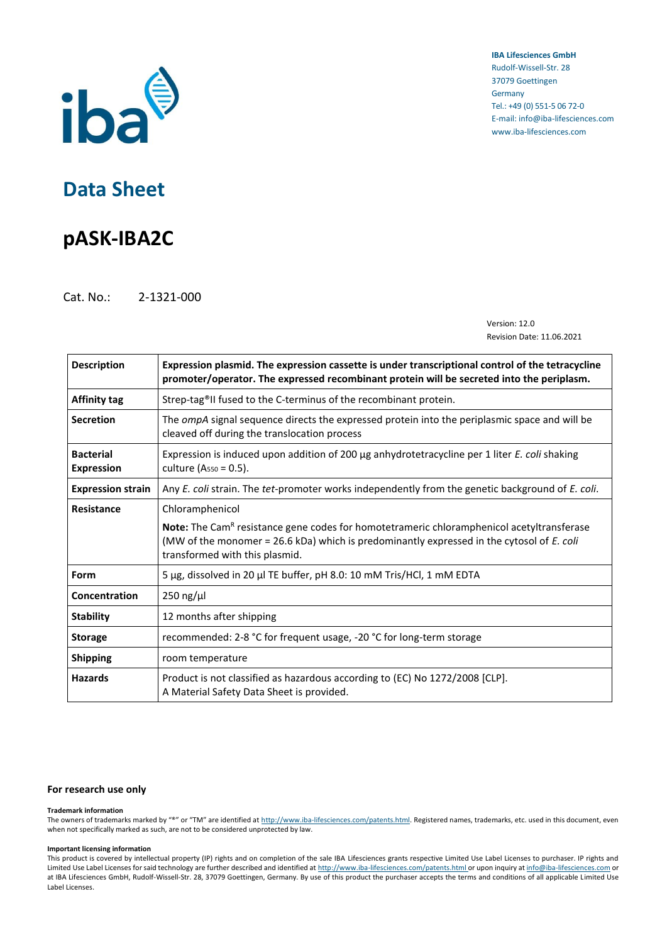

**IBA Lifesciences GmbH** Rudolf-Wissell-Str. 28 37079 Goettingen Germany Tel.: +49 (0) 551-5 06 72-0 E-mail: info@iba-lifesciences.com www.iba-lifesciences.com

# **Data Sheet**

# **pASK-IBA2C**

Cat. No.: 2-1321-000

Version: 12.0 Revision Date: 11.06.2021

| <b>Description</b>                    | Expression plasmid. The expression cassette is under transcriptional control of the tetracycline<br>promoter/operator. The expressed recombinant protein will be secreted into the periplasm.                                               |  |  |  |  |
|---------------------------------------|---------------------------------------------------------------------------------------------------------------------------------------------------------------------------------------------------------------------------------------------|--|--|--|--|
| <b>Affinity tag</b>                   | Strep-tag®II fused to the C-terminus of the recombinant protein.                                                                                                                                                                            |  |  |  |  |
| <b>Secretion</b>                      | The <i>ompA</i> signal sequence directs the expressed protein into the periplasmic space and will be<br>cleaved off during the translocation process                                                                                        |  |  |  |  |
| <b>Bacterial</b><br><b>Expression</b> | Expression is induced upon addition of 200 µg anhydrotetracycline per 1 liter E. coli shaking<br>culture (A <sub>550</sub> = 0.5).                                                                                                          |  |  |  |  |
| <b>Expression strain</b>              | Any E. coli strain. The tet-promoter works independently from the genetic background of E. coli.                                                                                                                                            |  |  |  |  |
| Resistance                            | Chloramphenicol                                                                                                                                                                                                                             |  |  |  |  |
|                                       | <b>Note:</b> The Cam <sup>R</sup> resistance gene codes for homotetrameric chloramphenicol acetyltransferase<br>(MW of the monomer = 26.6 kDa) which is predominantly expressed in the cytosol of E. coli<br>transformed with this plasmid. |  |  |  |  |
| Form                                  | 5 µg, dissolved in 20 µl TE buffer, pH 8.0: 10 mM Tris/HCl, 1 mM EDTA                                                                                                                                                                       |  |  |  |  |
| Concentration                         | $250$ ng/ $\mu$ l                                                                                                                                                                                                                           |  |  |  |  |
| <b>Stability</b>                      | 12 months after shipping                                                                                                                                                                                                                    |  |  |  |  |
| <b>Storage</b>                        | recommended: 2-8 °C for frequent usage, -20 °C for long-term storage                                                                                                                                                                        |  |  |  |  |
| <b>Shipping</b>                       | room temperature                                                                                                                                                                                                                            |  |  |  |  |
| <b>Hazards</b>                        | Product is not classified as hazardous according to (EC) No 1272/2008 [CLP].<br>A Material Safety Data Sheet is provided.                                                                                                                   |  |  |  |  |

### **For research use only**

#### **Trademark information**

The owners of trademarks marked by "®" or "TM" are identified at [http://www.iba-lifesciences.com/patents.html.](http://www.iba-lifesciences.com/patents.html) Registered names, trademarks, etc. used in this document, even when not specifically marked as such, are not to be considered unprotected by law.

#### **Important licensing information**

This product is covered by intellectual property (IP) rights and on completion of the sale IBA Lifesciences grants respective Limited Use Label Licenses to purchaser. IP rights and Limited Use Label Licenses for said technology are further described and identified a[t http://www.iba-lifesciences.com/patents.html](http://www.iba-lifesciences.com/patents.html) or upon inquiry a[t info@iba-lifesciences.com](mailto:info@iba-lifesciences.com) or at IBA Lifesciences GmbH, Rudolf-Wissell-Str. 28, 37079 Goettingen, Germany. By use of this product the purchaser accepts the terms and conditions of all applicable Limited Use Label Licenses.